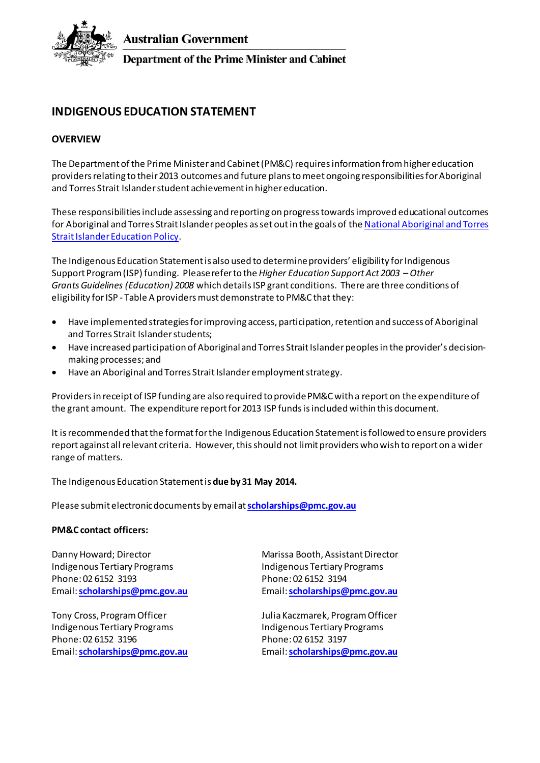

**Australian Government** 

**Department of the Prime Minister and Cabinet** 

# **INDIGENOUS EDUCATION STATEMENT**

# **OVERVIEW**

The Department of the Prime Minister and Cabinet (PM&C) requires information from higher education providers relating to their 2013 outcomes and future plans to meet ongoing responsibilities for Aboriginal and Torres Strait Islanderstudent achievement in higher education.

These responsibilities include assessing and reporting on progress towards improved educational outcomes for Aboriginal and Torres Strait Islander peoples as set outin the goals of th[e National Aboriginal and Torres](http://www.dest.gov.au/sectors/indigenous_education/policy_issues_reviews/national_goals_for_indigenous_education.htm)  [Strait Islander Education Policy](http://www.dest.gov.au/sectors/indigenous_education/policy_issues_reviews/national_goals_for_indigenous_education.htm).

The Indigenous Education Statement is also used to determine providers' eligibility for Indigenous Support Program (ISP) funding. Please refer to the *Higher Education Support Act 2003 – Other Grants Guidelines (Education) 2008* which details ISP grant conditions. There are three conditions of eligibility for ISP - Table A providers must demonstrate to PM&C that they:

- Have implemented strategies for improving access, participation, retention and success of Aboriginal and Torres Strait Islanderstudents;
- Have increased participation of Aboriginal and Torres Strait Islander peoples in the provider's decisionmaking processes; and
- Have an Aboriginal and Torres Strait Islanderemployment strategy.

Providers in receipt of ISP funding are also required to provide PM&C with a report on the expenditure of the grant amount. The expenditure report for 2013 ISP funds isincluded within this document.

It is recommended that the format for the Indigenous Education Statementis followed to ensure providers report against all relevant criteria. However, this should not limit providers who wish to report on a wider range of matters.

The Indigenous Education Statement is **due by 31 May 2014.**

Please submit electronic documents by email at**[scholarships@pmc.gov.au](mailto:scholarships@pmc.gov.au)**

## **PM&C contact officers:**

Indigenous Tertiary Programs Phone: 02 6152 3193 Email: **[scholarships@pmc.gov.au](mailto:scholarships@pmc.gov.au)**

Tony Cross, Program Officer Indigenous Tertiary Programs Phone: 02 6152 3196 Email: **[scholarships@pmc.gov.au](mailto:scholarships@pmc.gov.au)**

Danny Howard; Director Marissa Booth, Assistant Director Indigenous Tertiary Programs Phone: 02 6152 3194 Email: **[scholarships@pmc.gov.au](mailto:scholarships@pmc.gov.au)**

> Julia Kaczmarek, Program Officer Indigenous Tertiary Programs Phone: 02 6152 3197 Email: **[scholarships@pmc.gov.au](mailto:scholarships@pmc.gov.au)**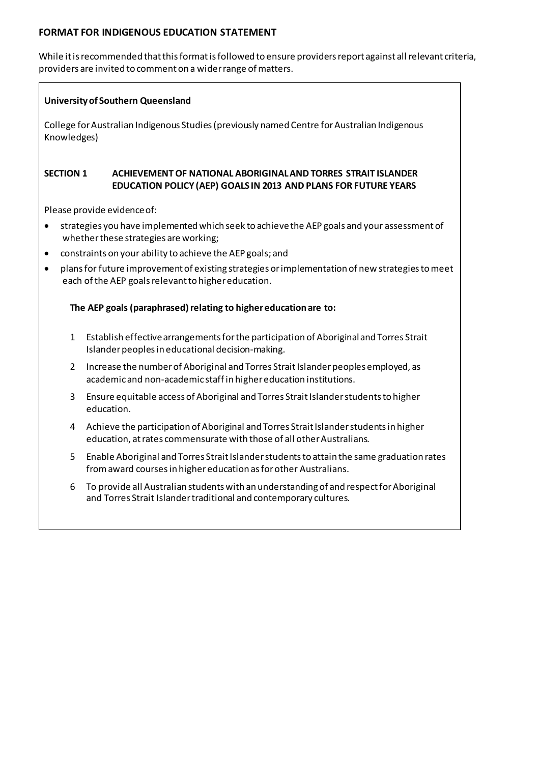# **FORMAT FOR INDIGENOUS EDUCATION STATEMENT**

While it is recommended that this format is followed to ensure providers report against all relevant criteria, providers are invited to comment on a wider range of matters.

# **University of Southern Queensland**

College for Australian Indigenous Studies (previously named Centre for Australian Indigenous Knowledges)

# **SECTION 1 ACHIEVEMENT OF NATIONAL ABORIGINAL AND TORRES STRAIT ISLANDER EDUCATION POLICY (AEP) GOALS IN 2013 AND PLANS FOR FUTURE YEARS**

Please provide evidence of:

- strategies you have implemented which seek to achievethe AEP goals and your assessment of whether these strategies are working;
- constraints on your ability to achieve the AEP goals; and
- plans for future improvement of existing strategies or implementation of new strategies to meet each of the AEP goals relevant to higher education.

# **The AEP goals (paraphrased) relating to higher education are to:**

- 1 Establish effective arrangements for the participation of Aboriginaland Torres Strait Islanderpeoples in educational decision-making.
- 2 Increase the number of Aboriginal and Torres Strait Islander peoples employed, as academic and non-academic staff in higher education institutions.
- 3 Ensure equitable access of Aboriginal and Torres Strait Islanderstudents to higher education.
- 4 Achieve the participation of Aboriginal and Torres Strait Islanderstudents in higher education, at rates commensurate with those of all other Australians.
- 5 Enable Aboriginal and Torres Strait Islanderstudents to attain the same graduation rates from award courses in higher education as for other Australians.
- 6 To provide all Australian students with an understanding of and respect for Aboriginal and Torres Strait Islander traditional and contemporary cultures.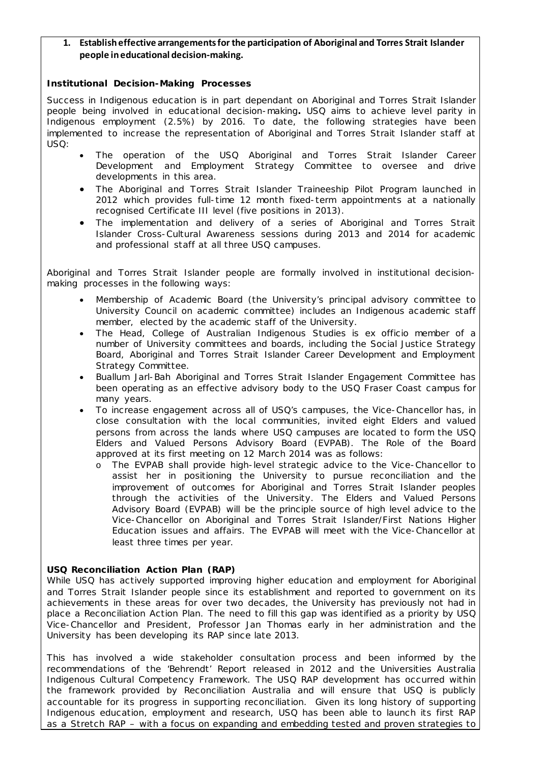# **1. Establish effective arrangements for the participation of Aboriginal and Torres Strait Islander people in educational decision-making.**

### **Institutional Decision-Making Processes**

Success in Indigenous education is in part dependant on Aboriginal and Torres Strait Islander people being involved in educational decision-making**.** USQ aims to achieve level parity in Indigenous employment (2.5%) by 2016. To date, the following strategies have been implemented to increase the representation of Aboriginal and Torres Strait Islander staff at USQ:

- The operation of the USQ Aboriginal and Torres Strait Islander Career Development and Employment Strategy Committee to oversee and drive developments in this area.
- The Aboriginal and Torres Strait Islander Traineeship Pilot Program launched in 2012 which provides full-time 12 month fixed-term appointments at a nationally recognised Certificate III level (five positions in 2013).
- The implementation and delivery of a series of Aboriginal and Torres Strait Islander Cross-Cultural Awareness sessions during 2013 and 2014 for academic and professional staff at all three USQ campuses.

Aboriginal and Torres Strait Islander people are formally involved in institutional decisionmaking processes in the following ways:

- Membership of Academic Board (the University's principal advisory committee to University Council on academic committee) includes an Indigenous academic staff member, elected by the academic staff of the University.
- The Head, College of Australian Indigenous Studies is ex officio member of a number of University committees and boards, including the Social Justice Strategy Board, Aboriginal and Torres Strait Islander Career Development and Employment Strategy Committee.
- Buallum Jarl-Bah Aboriginal and Torres Strait Islander Engagement Committee has been operating as an effective advisory body to the USQ Fraser Coast campus for many years.
- To increase engagement across all of USQ's campuses, the Vice-Chancellor has, in close consultation with the local communities, invited eight Elders and valued persons from across the lands where USQ campuses are located to form the USQ Elders and Valued Persons Advisory Board (EVPAB). The Role of the Board approved at its first meeting on 12 March 2014 was as follows:
	- The EVPAB shall provide high-level strategic advice to the Vice-Chancellor to assist her in positioning the University to pursue reconciliation and the improvement of outcomes for Aboriginal and Torres Strait Islander peoples through the activities of the University. The Elders and Valued Persons Advisory Board (EVPAB) will be the principle source of high level advice to the Vice-Chancellor on Aboriginal and Torres Strait Islander/First Nations Higher Education issues and affairs. The EVPAB will meet with the Vice-Chancellor at least three times per year.

### **USQ Reconciliation Action Plan (RAP)**

While USQ has actively supported improving higher education and employment for Aboriginal and Torres Strait Islander people since its establishment and reported to government on its achievements in these areas for over two decades, the University has previously not had in place a Reconciliation Action Plan. The need to fill this gap was identified as a priority by USQ Vice-Chancellor and President, Professor Jan Thomas early in her administration and the University has been developing its RAP since late 2013.

This has involved a wide stakeholder consultation process and been informed by the recommendations of the 'Behrendt' Report released in 2012 and the Universities Australia Indigenous Cultural Competency Framework. The USQ RAP development has occurred within the framework provided by Reconciliation Australia and will ensure that USQ is publicly accountable for its progress in supporting reconciliation. Given its long history of supporting Indigenous education, employment and research, USQ has been able to launch its first RAP as a Stretch RAP – with a focus on expanding and embedding tested and proven strategies to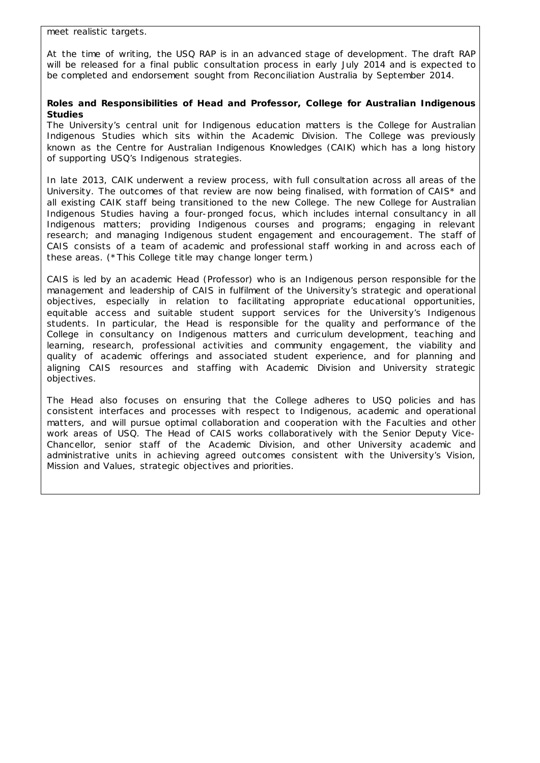At the time of writing, the USQ RAP is in an advanced stage of development. The draft RAP will be released for a final public consultation process in early July 2014 and is expected to be completed and endorsement sought from Reconciliation Australia by September 2014.

## **Roles and Responsibilities of Head and Professor, College for Australian Indigenous Studies**

The University's central unit for Indigenous education matters is the College for Australian Indigenous Studies which sits within the Academic Division. The College was previously known as the Centre for Australian Indigenous Knowledges (CAIK) which has a long history of supporting USQ's Indigenous strategies.

In late 2013, CAIK underwent a review process, with full consultation across all areas of the University. The outcomes of that review are now being finalised, with formation of CAIS\* and all existing CAIK staff being transitioned to the new College. The new College for Australian Indigenous Studies having a four-pronged focus, which includes internal consultancy in all Indigenous matters; providing Indigenous courses and programs; engaging in relevant research; and managing Indigenous student engagement and encouragement. The staff of CAIS consists of a team of academic and professional staff working in and across each of these areas. (\*This College title may change longer term.)

CAIS is led by an academic Head (Professor) who is an Indigenous person responsible for the management and leadership of CAIS in fulfilment of the University's strategic and operational objectives, especially in relation to facilitating appropriate educational opportunities, equitable access and suitable student support services for the University's Indigenous students. In particular, the Head is responsible for the quality and performance of the College in consultancy on Indigenous matters and curriculum development, teaching and learning, research, professional activities and community engagement, the viability and quality of academic offerings and associated student experience, and for planning and aligning CAIS resources and staffing with Academic Division and University strategic objectives.

The Head also focuses on ensuring that the College adheres to USQ policies and has consistent interfaces and processes with respect to Indigenous, academic and operational matters, and will pursue optimal collaboration and cooperation with the Faculties and other work areas of USQ. The Head of CAIS works collaboratively with the Senior Deputy Vice-Chancellor, senior staff of the Academic Division, and other University academic and administrative units in achieving agreed outcomes consistent with the University's Vision, Mission and Values, strategic objectives and priorities.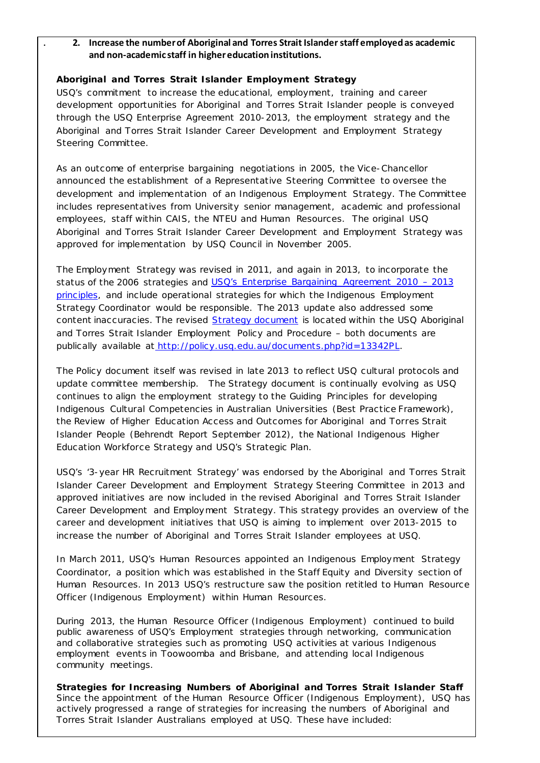**. 2. Increase the number of Aboriginal and Torres Strait Islander staff employedas academic and non-academic staff in higher education institutions.** 

### **Aboriginal and Torres Strait Islander Employment Strategy**

USQ's commitment to increase the educational, employment, training and career development opportunities for Aboriginal and Torres Strait Islander people is conveyed through the USQ Enterprise Agreement 2010-2013, the employment strategy and the Aboriginal and Torres Strait Islander Career Development and Employment Strategy Steering Committee.

As an outcome of enterprise bargaining negotiations in 2005, the Vice-Chancellor announced the establishment of a Representative Steering Committee to oversee the development and implementation of an Indigenous Employment Strategy. The Committee includes representatives from University senior management, academic and professional employees, staff within CAIS, the NTEU and Human Resources. The original USQ Aboriginal and Torres Strait Islander Career Development and Employment Strategy was approved for implementation by USQ Council in November 2005.

The Employment Strategy was revised in 2011, and again in 2013, to incorporate the status of the 2006 strategies and USQ's Enterprise Bargaining Agreement 2010 - 2013 [principles,](http://www.usq.edu.au/hr/empcond/ea2010/part4/19) and include operational strategies for which the Indigenous Employment Strategy Coordinator would be responsible. The 2013 update also addressed some content inaccuracies. The revised **[Strategy document](http://www.usq.edu.au/hr/polproc/partc/~/media/USQ/HR/Other/IndigenousEmploymentStrategypdf.ashx)** is located within the USQ Aboriginal and Torres Strait Islander Employment Policy and Procedure – both documents are publically available at [http://policy.usq.edu.au/documents.php?id=13342PL.](http://policy.usq.edu.au/documents.php?id=13342PL) 

The Policy document itself was revised in late 2013 to reflect USQ cultural protocols and update committee membership. The Strategy document is continually evolving as USQ continues to align the employment strategy to the *Guiding Principles for developing Indigenous Cultural Competencies in Australian Universities* (Best Practice Framework), the *Review of Higher Education Access and Outcomes for Aboriginal and Torres Strait Islander People* (Behrendt Report September 2012), the *National Indigenous Higher Education Workforce Strategy* and USQ's Strategic Plan.

USQ's '3-year HR Recruitment Strategy' was endorsed by the Aboriginal and Torres Strait Islander Career Development and Employment Strategy Steering Committee in 2013 and approved initiatives are now included in the revised Aboriginal and Torres Strait Islander Career Development and Employment Strategy. This strategy provides an overview of the career and development initiatives that USQ is aiming to implement over 2013-2015 to increase the number of Aboriginal and Torres Strait Islander employees at USQ.

In March 2011, USQ's Human Resources appointed an Indigenous Employment Strategy Coordinator, a position which was established in the Staff Equity and Diversity section of Human Resources. In 2013 USQ's restructure saw the position retitled to Human Resource Officer (Indigenous Employment) within Human Resources.

During 2013, the Human Resource Officer (Indigenous Employment) continued to build public awareness of USQ's Employment strategies through networking, communication and collaborative strategies such as promoting USQ activities at various Indigenous employment events in Toowoomba and Brisbane, and attending local Indigenous community meetings.

**Strategies for Increasing Numbers of Aboriginal and Torres Strait Islander Staff** Since the appointment of the Human Resource Officer (Indigenous Employment), USQ has actively progressed a range of strategies for increasing the numbers of Aboriginal and Torres Strait Islander Australians employed at USQ. These have included: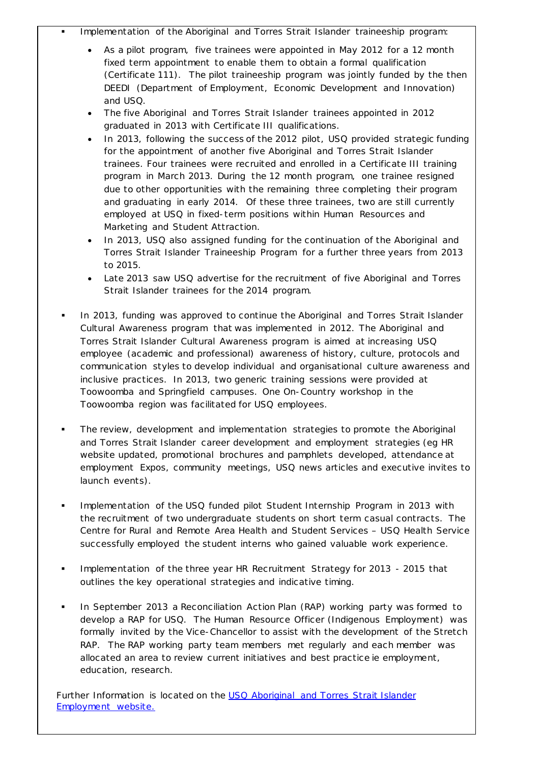# Implementation of the Aboriginal and Torres Strait Islander traineeship program:

- As a pilot program, five trainees were appointed in May 2012 for a 12 month fixed term appointment to enable them to obtain a formal qualification (Certificate 111). The pilot traineeship program was jointly funded by the then DEEDI (Department of Employment, Economic Development and Innovation) and USQ.
- The five Aboriginal and Torres Strait Islander trainees appointed in 2012 graduated in 2013 with Certificate III qualifications.
- In 2013, following the success of the 2012 pilot, USQ provided strategic funding for the appointment of another five Aboriginal and Torres Strait Islander trainees. Four trainees were recruited and enrolled in a Certificate III training program in March 2013. During the 12 month program, one trainee resigned due to other opportunities with the remaining three completing their program and graduating in early 2014. Of these three trainees, two are still currently employed at USQ in fixed-term positions within Human Resources and Marketing and Student Attraction.
- In 2013, USQ also assigned funding for the continuation of the Aboriginal and Torres Strait Islander Traineeship Program for a further three years from 2013 to 2015.
- Late 2013 saw USQ advertise for the recruitment of five Aboriginal and Torres Strait Islander trainees for the 2014 program.
- In 2013, funding was approved to continue the Aboriginal and Torres Strait Islander Cultural Awareness program that was implemented in 2012. The Aboriginal and Torres Strait Islander Cultural Awareness program is aimed at increasing USQ employee (academic and professional) awareness of history, culture, protocols and communication styles to develop individual and organisational culture awareness and inclusive practices. In 2013, two generic training sessions were provided at Toowoomba and Springfield campuses. One On-Country workshop in the Toowoomba region was facilitated for USQ employees.
- The review, development and implementation strategies to promote the Aboriginal and Torres Strait Islander career development and employment strategies (eg HR website updated, promotional brochures and pamphlets developed, attendance at employment Expos, community meetings, USQ news articles and executive invites to launch events).
- Implementation of the USQ funded pilot Student Internship Program in 2013 with the recruitment of two undergraduate students on short term casual contracts. The Centre for Rural and Remote Area Health and Student Services – USQ Health Service successfully employed the student interns who gained valuable work experience.
- **Implementation of the three year HR Recruitment Strategy for 2013 2015 that** outlines the key operational strategies and indicative timing.
- **In September 2013 a Reconciliation Action Plan (RAP) working party was formed to** develop a RAP for USQ. The Human Resource Officer (Indigenous Employment) was formally invited by the Vice-Chancellor to assist with the development of the Stretch RAP. The RAP working party team members met regularly and each member was allocated an area to review current initiatives and best practice ie employment, education, research.

Further Information is located on the USQ Aboriginal and Torres Strait Islander [Employment website.](http://www.usq.edu.au/hr/equitydiversity/eopolproc/aboriginaltorresstraitislanderemp)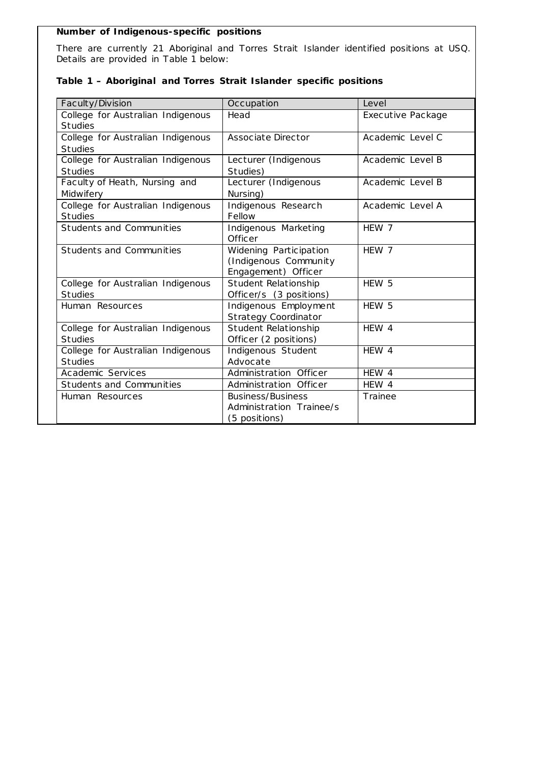### **Number of Indigenous-specific positions**

There are currently 21 Aboriginal and Torres Strait Islander identified positions at USQ. Details are provided in Table 1 below:

| Faculty/Division                  | Occupation                  | Level             |
|-----------------------------------|-----------------------------|-------------------|
| College for Australian Indigenous | Head                        | Executive Package |
| <b>Studies</b>                    |                             |                   |
| College for Australian Indigenous | Associate Director          | Academic Level C  |
| <b>Studies</b>                    |                             |                   |
| College for Australian Indigenous | Lecturer (Indigenous        | Academic Level B  |
| <b>Studies</b>                    | Studies)                    |                   |
| Faculty of Heath, Nursing and     | Lecturer (Indigenous        | Academic Level B  |
| Midwifery                         | Nursing)                    |                   |
| College for Australian Indigenous | Indigenous Research         | Academic Level A  |
| <b>Studies</b>                    | Fellow                      |                   |
| Students and Communities          | Indigenous Marketing        | HFW 7             |
|                                   | Officer                     |                   |
| Students and Communities          | Widening Participation      | HEW 7             |
|                                   | (Indigenous Community       |                   |
|                                   | Engagement) Officer         |                   |
| College for Australian Indigenous | Student Relationship        | HEW 5             |
| <b>Studies</b>                    | Officer/s (3 positions)     |                   |
| Human Resources                   | Indigenous Employment       | HEW 5             |
|                                   | <b>Strategy Coordinator</b> |                   |
| College for Australian Indigenous | Student Relationship        | HFW 4             |
| <b>Studies</b>                    | Officer (2 positions)       |                   |
| College for Australian Indigenous | Indigenous Student          | HEW 4             |
| <b>Studies</b>                    | Advocate                    |                   |
| Academic Services                 | Administration Officer      | HEW 4             |
| <b>Students and Communities</b>   | Administration Officer      | HEW 4             |
| Human Resources                   | <b>Business/Business</b>    | Trainee           |
|                                   | Administration Trainee/s    |                   |
|                                   | (5 positions)               |                   |

# **Table 1 – Aboriginal and Torres Strait Islander specific positions**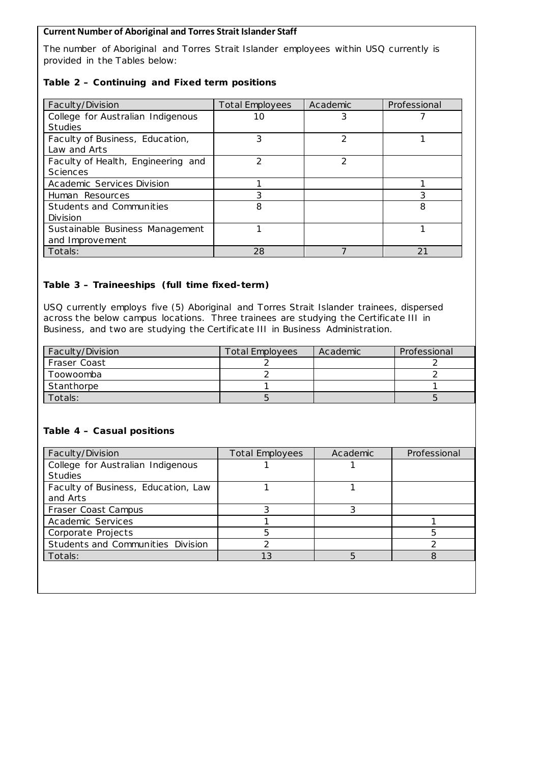# **Current Number of Aboriginal and Torres Strait Islander Staff**

The number of Aboriginal and Torres Strait Islander employees within USQ currently is provided in the Tables below:

# **Table 2 – Continuing and Fixed term positions**

| Faculty/Division                   | <b>Total Employees</b> | Academic | Professional |
|------------------------------------|------------------------|----------|--------------|
| College for Australian Indigenous  | 10                     |          |              |
| <b>Studies</b>                     |                        |          |              |
| Faculty of Business, Education,    | 3                      | 2        |              |
| Law and Arts                       |                        |          |              |
| Faculty of Health, Engineering and | 2                      | 2        |              |
| <b>Sciences</b>                    |                        |          |              |
| Academic Services Division         |                        |          |              |
| Human Resources                    | 3                      |          | 3            |
| Students and Communities           | 8                      |          | 8            |
| Division                           |                        |          |              |
| Sustainable Business Management    |                        |          |              |
| and Improvement                    |                        |          |              |
| Totals:                            | 28                     |          | 21           |

# **Table 3 – Traineeships (full time fixed-term)**

USQ currently employs five (5) Aboriginal and Torres Strait Islander trainees, dispersed across the below campus locations. Three trainees are studying the Certificate III in Business, and two are studying the Certificate III in Business Administration.

| Faculty/Division | <b>Total Employees</b> | Academic | Professional |
|------------------|------------------------|----------|--------------|
| Fraser Coast     |                        |          |              |
| Toowoomba        |                        |          |              |
| Stanthorpe       |                        |          |              |
| Totals:          |                        |          |              |

## **Table 4 – Casual positions**

| Faculty/Division                    | <b>Total Employees</b> | Academic | Professional |
|-------------------------------------|------------------------|----------|--------------|
| College for Australian Indigenous   |                        |          |              |
| <b>Studies</b>                      |                        |          |              |
| Faculty of Business, Education, Law |                        |          |              |
| and Arts                            |                        |          |              |
| Fraser Coast Campus                 |                        | 3        |              |
| Academic Services                   |                        |          |              |
| Corporate Projects                  | 5                      |          | 5            |
| Students and Communities Division   | ⌒                      |          |              |
| Totals:                             | 13                     | 5        | 8            |
|                                     |                        |          |              |
|                                     |                        |          |              |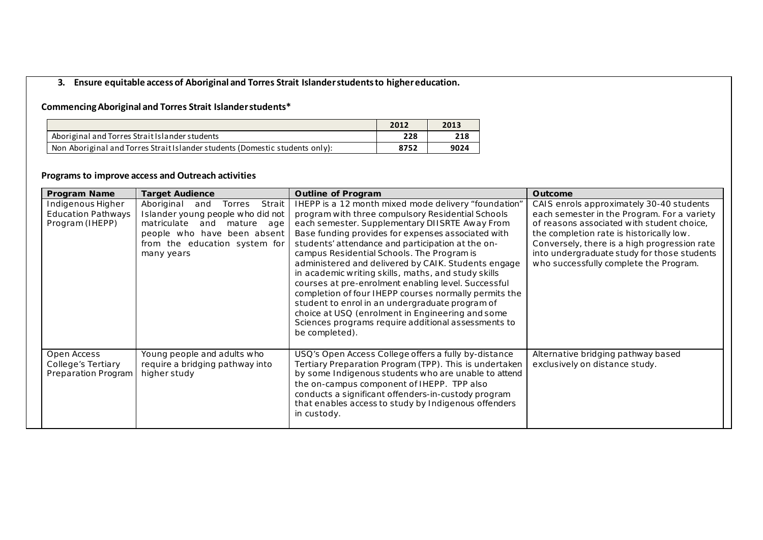# **3. Ensure equitable access of Aboriginal and Torres Strait Islander students to higher education.**

# **Commencing Aboriginal and Torres Strait Islander students\***

|                                                                              | 2012 | 2013 |
|------------------------------------------------------------------------------|------|------|
| Aboriginal and Torres Strait Islander students                               | 228  | 218  |
| Non Aboriginal and Torres Strait Islander students (Domestic students only): | 8752 | 9024 |

# **Programs to improve access and Outreach activities**

| <b>Program Name</b>                                               | <b>Target Audience</b>                                                                                                                                                                    | <b>Outline of Program</b>                                                                                                                                                                                                                                                                                                                                                                                                                                                                                                                                                                                                                                                                                                          | <b>Outcome</b>                                                                                                                                                                                                                                                                                                             |
|-------------------------------------------------------------------|-------------------------------------------------------------------------------------------------------------------------------------------------------------------------------------------|------------------------------------------------------------------------------------------------------------------------------------------------------------------------------------------------------------------------------------------------------------------------------------------------------------------------------------------------------------------------------------------------------------------------------------------------------------------------------------------------------------------------------------------------------------------------------------------------------------------------------------------------------------------------------------------------------------------------------------|----------------------------------------------------------------------------------------------------------------------------------------------------------------------------------------------------------------------------------------------------------------------------------------------------------------------------|
| Indigenous Higher<br><b>Education Pathways</b><br>Program (IHEPP) | Strait<br>Aboriginal<br>and<br>Torres<br>Islander young people who did not<br>matriculate<br>and mature age<br>people who have been absent<br>from the education system for<br>many years | IHEPP is a 12 month mixed mode delivery "foundation"<br>program with three compulsory Residential Schools<br>each semester. Supplementary DIISRTE Away From<br>Base funding provides for expenses associated with<br>students' attendance and participation at the on-<br>campus Residential Schools. The Program is<br>administered and delivered by CAIK. Students engage<br>in academic writing skills, maths, and study skills<br>courses at pre-enrolment enabling level. Successful<br>completion of four IHEPP courses normally permits the<br>student to enrol in an undergraduate program of<br>choice at USQ (enrolment in Engineering and some<br>Sciences programs require additional assessments to<br>be completed). | CAIS enrols approximately 30-40 students<br>each semester in the Program. For a variety<br>of reasons associated with student choice,<br>the completion rate is historically low.<br>Conversely, there is a high progression rate<br>into undergraduate study for those students<br>who successfully complete the Program. |
| Open Access<br>College's Tertiary<br>Preparation Program          | Young people and adults who<br>require a bridging pathway into<br>higher study                                                                                                            | USQ's Open Access College offers a fully by-distance<br>Tertiary Preparation Program (TPP). This is undertaken<br>by some Indigenous students who are unable to attend<br>the on-campus component of IHEPP. TPP also<br>conducts a significant offenders-in-custody program<br>that enables access to study by Indigenous offenders<br>in custody.                                                                                                                                                                                                                                                                                                                                                                                 | Alternative bridging pathway based<br>exclusively on distance study.                                                                                                                                                                                                                                                       |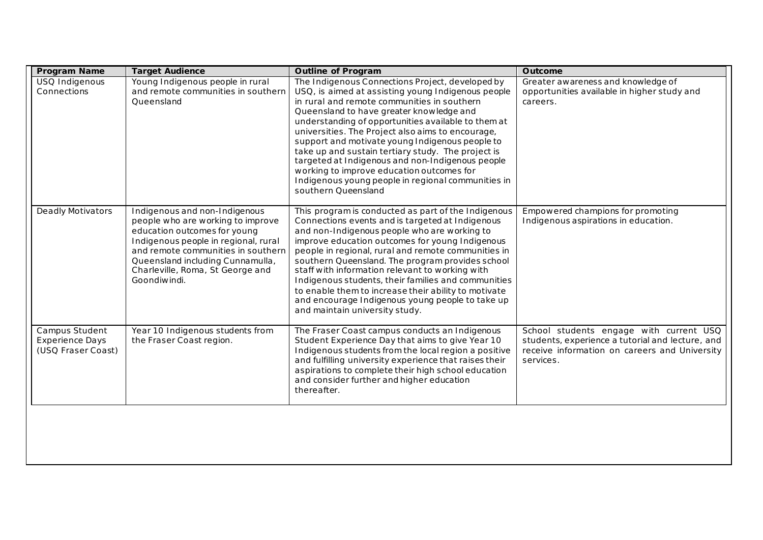| Program Name                                                   | <b>Target Audience</b>                                                                                                                                                                                                                                                   | <b>Outline of Program</b>                                                                                                                                                                                                                                                                                                                                                                                                                                                                                                                                                                            | Outcome                                                                                                                                                   |
|----------------------------------------------------------------|--------------------------------------------------------------------------------------------------------------------------------------------------------------------------------------------------------------------------------------------------------------------------|------------------------------------------------------------------------------------------------------------------------------------------------------------------------------------------------------------------------------------------------------------------------------------------------------------------------------------------------------------------------------------------------------------------------------------------------------------------------------------------------------------------------------------------------------------------------------------------------------|-----------------------------------------------------------------------------------------------------------------------------------------------------------|
| USQ Indigenous<br>Connections                                  | Young Indigenous people in rural<br>and remote communities in southern<br>Queensland                                                                                                                                                                                     | The Indigenous Connections Project, developed by<br>USQ, is aimed at assisting young Indigenous people<br>in rural and remote communities in southern<br>Queensland to have greater knowledge and<br>understanding of opportunities available to them at<br>universities. The Project also aims to encourage,<br>support and motivate young Indigenous people to<br>take up and sustain tertiary study. The project is<br>targeted at Indigenous and non-Indigenous people<br>working to improve education outcomes for<br>Indigenous young people in regional communities in<br>southern Queensland | Greater awareness and knowledge of<br>opportunities available in higher study and<br>careers.                                                             |
| Deadly Motivators                                              | Indigenous and non-Indigenous<br>people who are working to improve<br>education outcomes for young<br>Indigenous people in regional, rural<br>and remote communities in southern<br>Queensland including Cunnamulla,<br>Charleville, Roma, St George and<br>Goondiwindi. | This program is conducted as part of the Indigenous<br>Connections events and is targeted at Indigenous<br>and non-Indigenous people who are working to<br>improve education outcomes for young Indigenous<br>people in regional, rural and remote communities in<br>southern Queensland. The program provides school<br>staff with information relevant to working with<br>Indigenous students, their families and communities<br>to enable them to increase their ability to motivate<br>and encourage Indigenous young people to take up<br>and maintain university study.                        | Empowered champions for promoting<br>Indigenous aspirations in education.                                                                                 |
| Campus Student<br><b>Experience Days</b><br>(USQ Fraser Coast) | Year 10 Indigenous students from<br>the Fraser Coast region.                                                                                                                                                                                                             | The Fraser Coast campus conducts an Indigenous<br>Student Experience Day that aims to give Year 10<br>Indigenous students from the local region a positive<br>and fulfilling university experience that raises their<br>aspirations to complete their high school education<br>and consider further and higher education<br>thereafter.                                                                                                                                                                                                                                                              | School students engage with current USQ<br>students, experience a tutorial and lecture, and<br>receive information on careers and University<br>services. |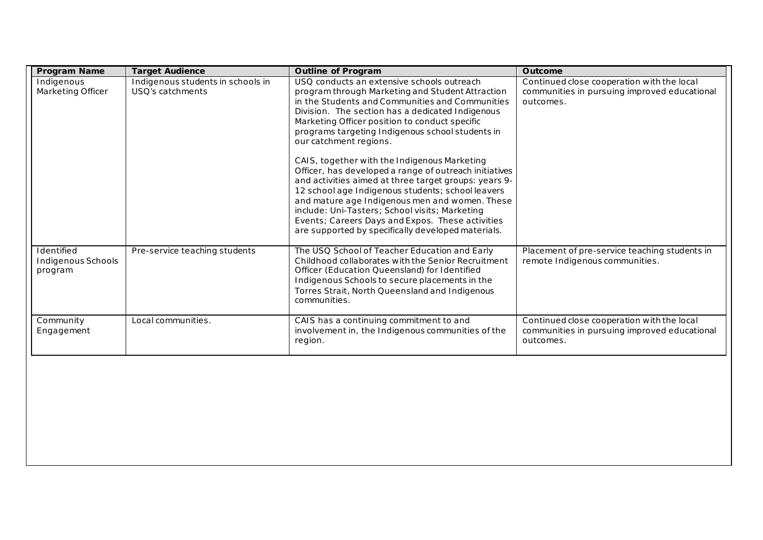| Program Name                                | <b>Target Audience</b>                                | <b>Outline of Program</b>                                                                                                                                                                                                                                                                                                                                                                                                                                                                                                                                                                                                                                                                                                                                                   | Outcome                                                                                                 |
|---------------------------------------------|-------------------------------------------------------|-----------------------------------------------------------------------------------------------------------------------------------------------------------------------------------------------------------------------------------------------------------------------------------------------------------------------------------------------------------------------------------------------------------------------------------------------------------------------------------------------------------------------------------------------------------------------------------------------------------------------------------------------------------------------------------------------------------------------------------------------------------------------------|---------------------------------------------------------------------------------------------------------|
| Indigenous<br>Marketing Officer             | Indigenous students in schools in<br>USQ's catchments | USO conducts an extensive schools outreach<br>program through Marketing and Student Attraction<br>in the Students and Communities and Communities<br>Division. The section has a dedicated Indigenous<br>Marketing Officer position to conduct specific<br>programs targeting Indigenous school students in<br>our catchment regions.<br>CAIS, together with the Indigenous Marketing<br>Officer, has developed a range of outreach initiatives<br>and activities aimed at three target groups: years 9-<br>12 school age Indigenous students; school leavers<br>and mature age Indigenous men and women. These<br>include: Uni-Tasters; School visits; Marketing<br>Events; Careers Days and Expos. These activities<br>are supported by specifically developed materials. | Continued close cooperation with the local<br>communities in pursuing improved educational<br>outcomes. |
| Identified<br>Indigenous Schools<br>program | Pre-service teaching students                         | The USQ School of Teacher Education and Early<br>Childhood collaborates with the Senior Recruitment<br>Officer (Education Queensland) for Identified<br>Indigenous Schools to secure placements in the<br>Torres Strait, North Queensland and Indigenous<br>communities.                                                                                                                                                                                                                                                                                                                                                                                                                                                                                                    | Placement of pre-service teaching students in<br>remote Indigenous communities.                         |
| Community<br>Engagement                     | Local communities.                                    | CAIS has a continuing commitment to and<br>involvement in, the Indigenous communities of the<br>region.                                                                                                                                                                                                                                                                                                                                                                                                                                                                                                                                                                                                                                                                     | Continued close cooperation with the local<br>communities in pursuing improved educational<br>outcomes. |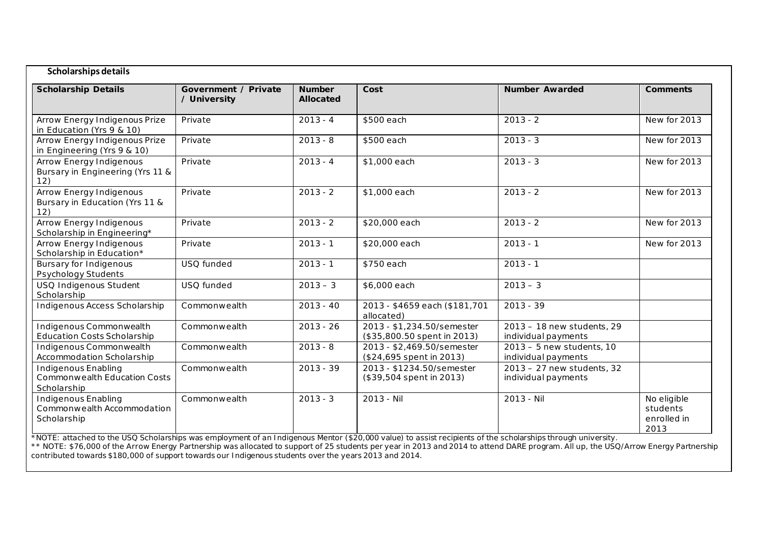| Scholarships details                                                      |                                      |                                   |                                                           |                                                    |                                                |
|---------------------------------------------------------------------------|--------------------------------------|-----------------------------------|-----------------------------------------------------------|----------------------------------------------------|------------------------------------------------|
| <b>Scholarship Details</b>                                                | Government / Private<br>/ University | <b>Number</b><br><b>Allocated</b> | Cost                                                      | <b>Number Awarded</b>                              | <b>Comments</b>                                |
| Arrow Energy Indigenous Prize<br>in Education (Yrs 9 & 10)                | Private                              | $2013 - 4$                        | \$500 each                                                | $2013 - 2$                                         | New for 2013                                   |
| Arrow Energy Indigenous Prize<br>in Engineering (Yrs 9 & 10)              | Private                              | $2013 - 8$                        | \$500 each                                                | $2013 - 3$                                         | New for 2013                                   |
| <b>Arrow Energy Indigenous</b><br>Bursary in Engineering (Yrs 11 &<br>12) | Private                              | $2013 - 4$                        | \$1,000 each                                              | $2013 - 3$                                         | New for 2013                                   |
| <b>Arrow Energy Indigenous</b><br>Bursary in Education (Yrs 11 &<br>12)   | Private                              | $2013 - 2$                        | \$1,000 each                                              | $2013 - 2$                                         | New for 2013                                   |
| Arrow Energy Indigenous<br>Scholarship in Engineering*                    | Private                              | $2013 - 2$                        | \$20,000 each                                             | $2013 - 2$                                         | New for 2013                                   |
| <b>Arrow Energy Indigenous</b><br>Scholarship in Education*               | Private                              | $2013 - 1$                        | \$20,000 each                                             | $2013 - 1$                                         | New for 2013                                   |
| <b>Bursary for Indigenous</b><br>Psychology Students                      | USQ funded                           | $2013 - 1$                        | \$750 each                                                | $2013 - 1$                                         |                                                |
| USQ Indigenous Student<br>Scholarship                                     | USQ funded                           | $2013 - 3$                        | \$6,000 each                                              | $2013 - 3$                                         |                                                |
| Indigenous Access Scholarship                                             | Commonwealth                         | $2013 - 40$                       | 2013 - \$4659 each (\$181,701<br>allocated)               | $2013 - 39$                                        |                                                |
| Indigenous Commonwealth<br><b>Education Costs Scholarship</b>             | Commonwealth                         | $2013 - 26$                       | 2013 - \$1,234.50/semester<br>(\$35,800.50 spent in 2013) | 2013 - 18 new students, 29<br>individual payments  |                                                |
| Indigenous Commonwealth<br>Accommodation Scholarship                      | Commonwealth                         | $2013 - 8$                        | 2013 - \$2,469.50/semester<br>(\$24,695 spent in 2013)    | $2013 - 5$ new students, 10<br>individual payments |                                                |
| Indigenous Enabling<br><b>Commonwealth Education Costs</b><br>Scholarship | Commonwealth                         | $2013 - 39$                       | 2013 - \$1234.50/semester<br>(\$39,504 spent in 2013)     | 2013 - 27 new students, 32<br>individual payments  |                                                |
| <b>Indigenous Enabling</b><br>Commonwealth Accommodation<br>Scholarship   | Commonwealth                         | $2013 - 3$                        | 2013 - Nil                                                | 2013 - Nil                                         | No eligible<br>students<br>enrolled in<br>2013 |

*\*NOTE: attached to the USQ Scholarships was employment of an Indigenous Mentor (\$20,000 value) to assist recipients of the scholarships through university.*

*\*\* NOTE: \$76,000 of the Arrow Energy Partnership was allocated to support of 25 students per year in 2013 and 2014 to attend DARE program. All up, the USQ/Arrow Energy Partnership contributed towards \$180,000 of support towards our Indigenous students over the years 2013 and 2014.*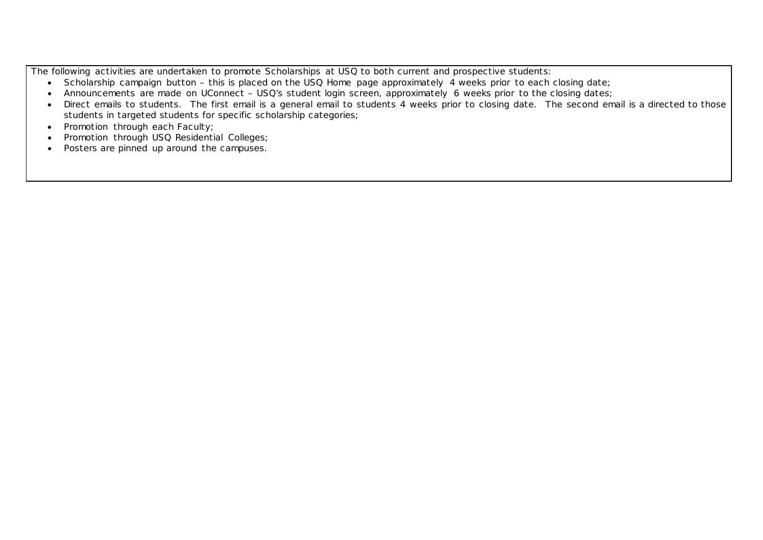The following activities are undertaken to promote Scholarships at USQ to both current and prospective students:

- Scholarship campaign button this is placed on the USQ Home page approximately 4 weeks prior to each closing date;
- Announcements are made on UConnect USQ's student login screen, approximately 6 weeks prior to the closing dates;
- Direct emails to students. The first email is a general email to students 4 weeks prior to closing date. The second email is a directed to those students in targeted students for specific scholarship categories;
- Promotion through each Faculty;
- Promotion through USQ Residential Colleges;
- Posters are pinned up around the campuses.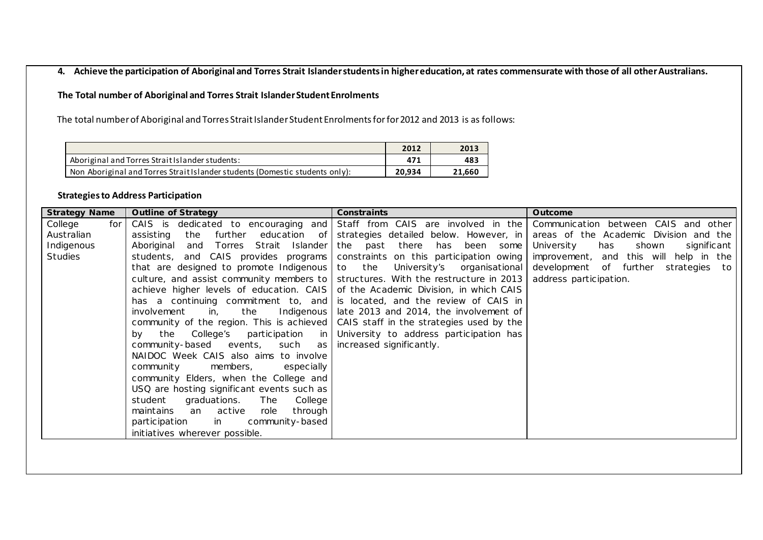**4. Achieve the participation of Aboriginal and Torres Strait Islander students in higher education, at rates commensurate with those of all other Australians.** 

# **The Total number of Aboriginal and Torres Strait Islander Student Enrolments**

The total number of Aboriginal and Torres Strait Islander Student Enrolments forfor 2012 and 2013 is as follows:

|                                                                              | 2012   | 2013   |
|------------------------------------------------------------------------------|--------|--------|
| Aboriginal and Torres Strait Islander students:                              | 471    | 483    |
| Non Aboriginal and Torres Strait Islander students (Domestic students only): | 20.934 | 21.660 |

# **Strategies to Address Participation**

| <b>Strategy Name</b> | <b>Outline of Strategy</b>                                                          | <b>Constraints</b>                                  | Outcome                                   |
|----------------------|-------------------------------------------------------------------------------------|-----------------------------------------------------|-------------------------------------------|
| College<br>for       | CAIS is dedicated to encouraging and Staff from CAIS are involved in the            |                                                     | Communication between CAIS and other      |
| Australian           | the further<br>assisting                                                            | education of strategies detailed below. However, in | areas of the Academic Division and the    |
| Indigenous           | and Torres Strait Islander the past there<br>Aboriginal                             | has been some                                       | significant<br>University<br>has<br>shown |
| Studies              | students, and CAIS provides programs   constraints on this participation owing      |                                                     | improvement, and this will help in the    |
|                      | that are designed to promote Indigenous $\vert$ to the                              | University's organisational                         | development of further strategies to      |
|                      | culture, and assist community members to   structures. With the restructure in 2013 |                                                     | address participation.                    |
|                      | achieve higher levels of education. CAIS of the Academic Division, in which CAIS    |                                                     |                                           |
|                      | has a continuing commitment to, and is located, and the review of CAIS in           |                                                     |                                           |
|                      | involvement<br>the<br>in,                                                           | Indigenous   late 2013 and 2014, the involvement of |                                           |
|                      | community of the region. This is achieved CAIS staff in the strategies used by the  |                                                     |                                           |
|                      | the College's participation<br>bv.                                                  | in University to address participation has          |                                           |
|                      | community-based events, such                                                        | as   increased significantly.                       |                                           |
|                      | NAIDOC Week CAIS also aims to involve                                               |                                                     |                                           |
|                      | community<br>members,<br>especially                                                 |                                                     |                                           |
|                      | community Elders, when the College and                                              |                                                     |                                           |
|                      | USQ are hosting significant events such as                                          |                                                     |                                           |
|                      | The<br>College<br>student<br>graduations.                                           |                                                     |                                           |
|                      | maintains<br>an active<br>through<br>role                                           |                                                     |                                           |
|                      | participation<br>in<br>community-based                                              |                                                     |                                           |
|                      | initiatives wherever possible.                                                      |                                                     |                                           |
|                      |                                                                                     |                                                     |                                           |
|                      |                                                                                     |                                                     |                                           |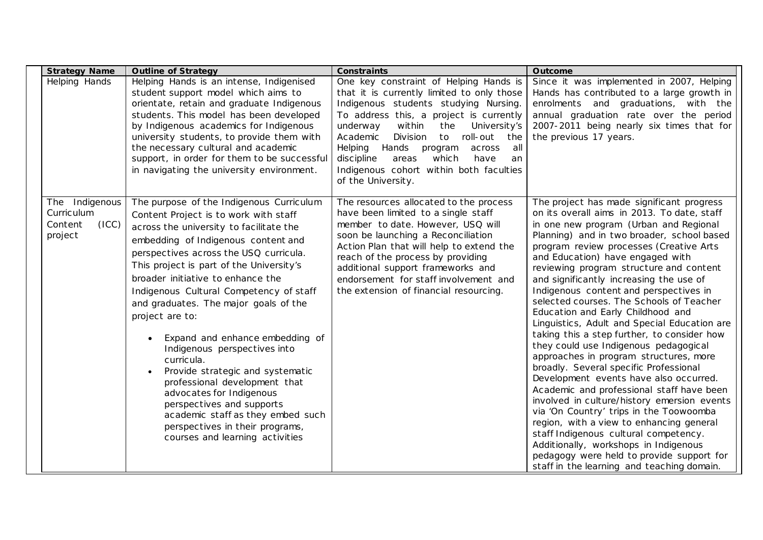| <b>Strategy Name</b>                                        | <b>Outline of Strategy</b>                                                                                                                                                                                                                                                                                                                                                                                                                                                                                                                                                                                                                                                                                                      | <b>Constraints</b>                                                                                                                                                                                                                                                                                                                                                                                                                    | Outcome                                                                                                                                                                                                                                                                                                                                                                                                                                                                                                                                                                                                                                                                                                                                                                                                                                                                                                                                                                                                                                                                                                                |
|-------------------------------------------------------------|---------------------------------------------------------------------------------------------------------------------------------------------------------------------------------------------------------------------------------------------------------------------------------------------------------------------------------------------------------------------------------------------------------------------------------------------------------------------------------------------------------------------------------------------------------------------------------------------------------------------------------------------------------------------------------------------------------------------------------|---------------------------------------------------------------------------------------------------------------------------------------------------------------------------------------------------------------------------------------------------------------------------------------------------------------------------------------------------------------------------------------------------------------------------------------|------------------------------------------------------------------------------------------------------------------------------------------------------------------------------------------------------------------------------------------------------------------------------------------------------------------------------------------------------------------------------------------------------------------------------------------------------------------------------------------------------------------------------------------------------------------------------------------------------------------------------------------------------------------------------------------------------------------------------------------------------------------------------------------------------------------------------------------------------------------------------------------------------------------------------------------------------------------------------------------------------------------------------------------------------------------------------------------------------------------------|
| Helping Hands                                               | Helping Hands is an intense, Indigenised<br>student support model which aims to<br>orientate, retain and graduate Indigenous<br>students. This model has been developed<br>by Indigenous academics for Indigenous<br>university students, to provide them with<br>the necessary cultural and academic<br>support, in order for them to be successful<br>in navigating the university environment.                                                                                                                                                                                                                                                                                                                               | One key constraint of Helping Hands is<br>that it is currently limited to only those<br>Indigenous students studying Nursing.<br>To address this, a project is currently<br>underway<br>within<br>the<br>University's<br>Academic<br>Division<br>to<br>roll-out<br>the<br>Hands<br>Helping<br>all<br>program<br>across<br>discipline<br>which<br>areas<br>have<br>an<br>Indigenous cohort within both faculties<br>of the University. | Since it was implemented in 2007, Helping<br>Hands has contributed to a large growth in<br>enrolments and graduations, with the<br>annual graduation rate over the period<br>2007-2011 being nearly six times that for<br>the previous 17 years.                                                                                                                                                                                                                                                                                                                                                                                                                                                                                                                                                                                                                                                                                                                                                                                                                                                                       |
| The Indigenous<br>Curriculum<br>Content<br>(ICC)<br>project | The purpose of the Indigenous Curriculum<br>Content Project is to work with staff<br>across the university to facilitate the<br>embedding of Indigenous content and<br>perspectives across the USQ curricula.<br>This project is part of the University's<br>broader initiative to enhance the<br>Indigenous Cultural Competency of staff<br>and graduates. The major goals of the<br>project are to:<br>Expand and enhance embedding of<br>Indigenous perspectives into<br>curricula.<br>Provide strategic and systematic<br>professional development that<br>advocates for Indigenous<br>perspectives and supports<br>academic staff as they embed such<br>perspectives in their programs,<br>courses and learning activities | The resources allocated to the process<br>have been limited to a single staff<br>member to date. However, USQ will<br>soon be launching a Reconciliation<br>Action Plan that will help to extend the<br>reach of the process by providing<br>additional support frameworks and<br>endorsement for staff involvement and<br>the extension of financial resourcing.                                                                     | The project has made significant progress<br>on its overall aims in 2013. To date, staff<br>in one new program (Urban and Regional<br>Planning) and in two broader, school based<br>program review processes (Creative Arts<br>and Education) have engaged with<br>reviewing program structure and content<br>and significantly increasing the use of<br>Indigenous content and perspectives in<br>selected courses. The Schools of Teacher<br>Education and Early Childhood and<br>Linguistics, Adult and Special Education are<br>taking this a step further, to consider how<br>they could use Indigenous pedagogical<br>approaches in program structures, more<br>broadly. Several specific Professional<br>Development events have also occurred.<br>Academic and professional staff have been<br>involved in culture/history emersion events<br>via 'On Country' trips in the Toowoomba<br>region, with a view to enhancing general<br>staff Indigenous cultural competency.<br>Additionally, workshops in Indigenous<br>pedagogy were held to provide support for<br>staff in the learning and teaching domain. |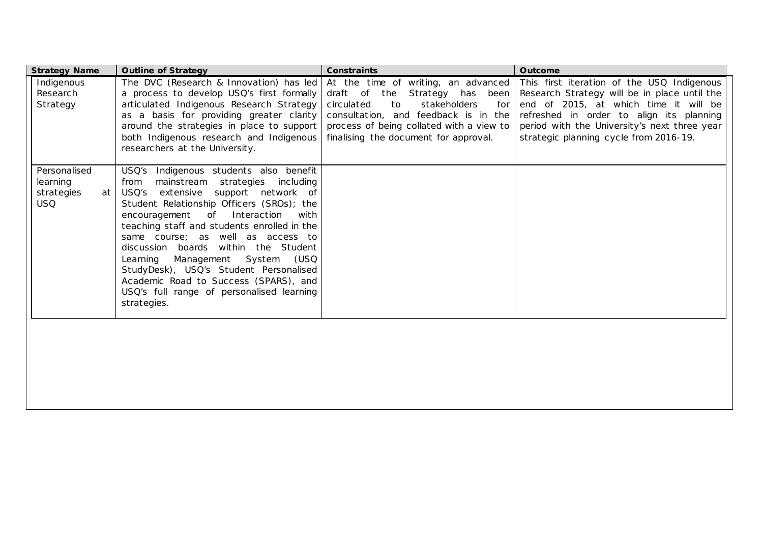| <b>Strategy Name</b>                                       | <b>Outline of Strategy</b>                                                                                                                                                                                                                                                                                                                                                                                                                                                                                                              | Constraints                                                                                                                                                                                                                                   | Outcome                                                                                                                                                                                                                                                                   |
|------------------------------------------------------------|-----------------------------------------------------------------------------------------------------------------------------------------------------------------------------------------------------------------------------------------------------------------------------------------------------------------------------------------------------------------------------------------------------------------------------------------------------------------------------------------------------------------------------------------|-----------------------------------------------------------------------------------------------------------------------------------------------------------------------------------------------------------------------------------------------|---------------------------------------------------------------------------------------------------------------------------------------------------------------------------------------------------------------------------------------------------------------------------|
| Indigenous<br>Research<br>Strategy                         | The DVC (Research & Innovation) has led<br>a process to develop USQ's first formally<br>articulated Indigenous Research Strategy<br>as a basis for providing greater clarity<br>around the strategies in place to support<br>both Indigenous research and Indigenous<br>researchers at the University.                                                                                                                                                                                                                                  | At the time of writing, an advanced<br>draft of the Strategy has been<br>stakeholders<br>circulated<br>to<br>for<br>consultation, and feedback is in the<br>process of being collated with a view to<br>finalising the document for approval. | This first iteration of the USQ Indigenous<br>Research Strategy will be in place until the<br>end of 2015, at which time it will be<br>refreshed in order to align its planning<br>period with the University's next three year<br>strategic planning cycle from 2016-19. |
| Personalised<br>learning<br>strategies<br>at<br><b>USQ</b> | Indigenous students also benefit<br>USQ's<br>mainstream strategies<br>from<br>inc luding<br>USQ's extensive support network of<br>Student Relationship Officers (SROs); the<br>Interaction<br>encouragement of<br>with<br>teaching staff and students enrolled in the<br>same course; as well as access to<br>discussion boards within the Student<br>Management System (USQ<br>Learning<br>StudyDesk), USQ's Student Personalised<br>Academic Road to Success (SPARS), and<br>USQ's full range of personalised learning<br>strategies. |                                                                                                                                                                                                                                               |                                                                                                                                                                                                                                                                           |
|                                                            |                                                                                                                                                                                                                                                                                                                                                                                                                                                                                                                                         |                                                                                                                                                                                                                                               |                                                                                                                                                                                                                                                                           |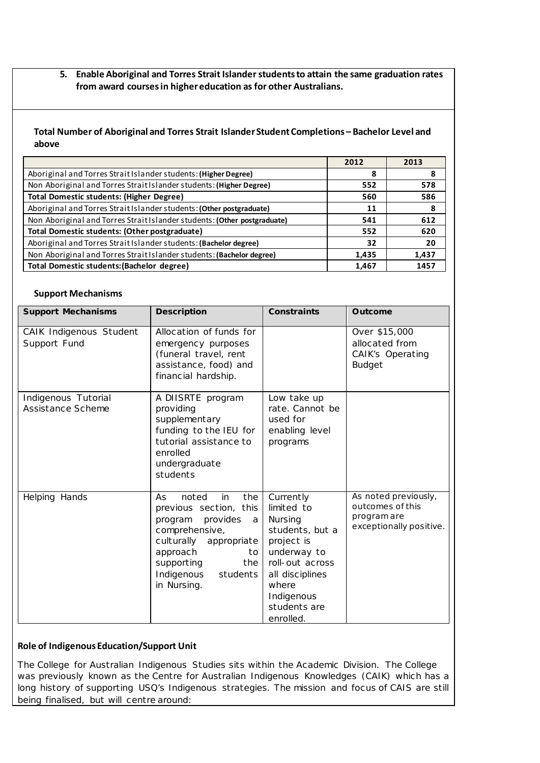**5. Enable Aboriginal and Torres Strait Islander students to attain the same graduation rates from award courses in higher education as for other Australians.** 

# **Total Number of Aboriginal and Torres Strait Islander Student Completions – Bachelor Level and above**

|                                                                          | 2012  | 2013  |
|--------------------------------------------------------------------------|-------|-------|
| Aboriginal and Torres Strait Islander students: (Higher Degree)          | 8     | 8     |
| Non Aboriginal and Torres Strait Islander students: (Higher Degree)      | 552   | 578   |
| <b>Total Domestic students: (Higher Degree)</b>                          | 560   | 586   |
| Aboriginal and Torres Strait Islander students: (Other postgraduate)     | 11    | 8     |
| Non Aboriginal and Torres Strait Islander students: (Other postgraduate) | 541   | 612   |
| Total Domestic students: (Other postgraduate)                            | 552   | 620   |
| Aboriginal and Torres Strait Islander students: (Bachelor degree)        | 32    | 20    |
| Non Aboriginal and Torres Strait Islander students: (Bachelor degree)    | 1,435 | 1.437 |
| Total Domestic students: (Bachelor degree)                               | 1,467 | 1457  |

# **Support Mechanisms**

| <b>Support Mechanisms</b>                | <b>Description</b>                                                                                                                                                                                             | <b>Constraints</b>                                                                                                                                                           | Outcome                                                                            |
|------------------------------------------|----------------------------------------------------------------------------------------------------------------------------------------------------------------------------------------------------------------|------------------------------------------------------------------------------------------------------------------------------------------------------------------------------|------------------------------------------------------------------------------------|
| CAIK Indigenous Student<br>Support Fund  | Allocation of funds for<br>emergency purposes<br>(funeral travel, rent<br>assistance, food) and<br>financial hardship.                                                                                         |                                                                                                                                                                              | Over \$15,000<br>allocated from<br><b>CAIK's Operating</b><br><b>Budget</b>        |
| Indigenous Tutorial<br>Assistance Scheme | A DIISRTE program<br>providing<br>supplementary<br>funding to the IEU for<br>tutorial assistance to<br>enrolled<br>undergraduate<br>students                                                                   | Low take up<br>rate. Cannot be<br>used for<br>enabling level<br>programs                                                                                                     |                                                                                    |
| Helping Hands                            | the<br>noted<br>in<br>As.<br>previous section, this<br>provides<br>program<br>a<br>comprehensive,<br>culturally<br>appropriate<br>approach<br>to<br>the<br>supporting<br>Indigenous<br>students<br>in Nursing. | Currently<br>limited to<br>Nursing<br>students, but a<br>project is<br>underway to<br>roll-out across<br>all disciplines<br>where<br>Indigenous<br>students are<br>enrolled. | As noted previously,<br>outcomes of this<br>program are<br>exceptionally positive. |

# **Role of Indigenous Education/Support Unit**

The College for Australian Indigenous Studies sits within the Academic Division. The College was previously known as the Centre for Australian Indigenous Knowledges (CAIK) which has a long history of supporting USQ's Indigenous strategies. The mission and focus of CAIS are still being finalised, but will centre around: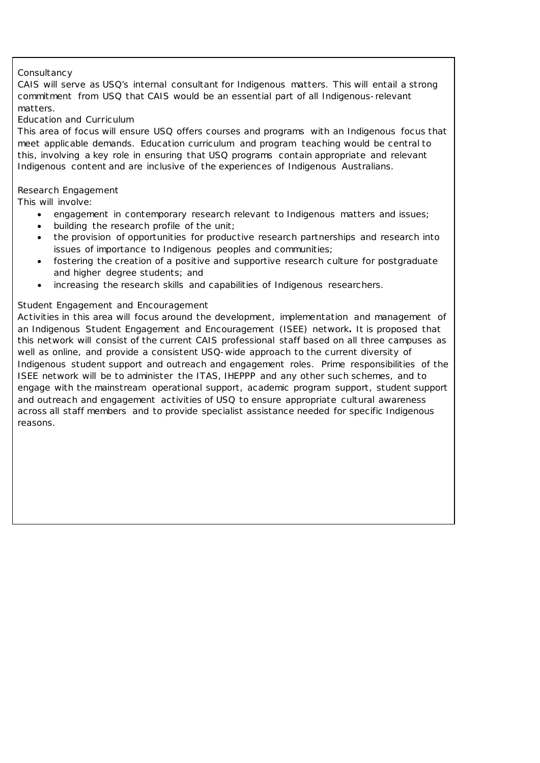# *Consultancy*

CAIS will serve as USQ's internal consultant for Indigenous matters. This will entail a strong commitment from USQ that CAIS would be an essential part of all Indigenous-relevant matters.

### *Education and Curriculum*

This area of focus will ensure USQ offers courses and programs with an Indigenous focus that meet applicable demands. Education curriculum and program teaching would be central to this, involving a key role in ensuring that USQ programs contain appropriate and relevant Indigenous content and are inclusive of the experiences of Indigenous Australians.

### *Research Engagement*

This will involve:

- engagement in contemporary research relevant to Indigenous matters and issues;
- building the research profile of the unit;
- the provision of opportunities for productive research partnerships and research into issues of importance to Indigenous peoples and communities;
- fostering the creation of a positive and supportive research culture for postgraduate and higher degree students; and
- increasing the research skills and capabilities of Indigenous researchers.

### *Student Engagement and Encouragement*

Activities in this area will focus around the development, implementation and management of an Indigenous Student Engagement and Encouragement (ISEE) network*.* It is proposed that this network will consist of the current CAIS professional staff based on all three campuses as well as online, and provide a consistent USQ-wide approach to the current diversity of Indigenous student support and outreach and engagement roles. Prime responsibilities of the ISEE network will be to administer the ITAS, IHEPPP and any other such schemes, and to engage with the mainstream operational support, academic program support, student support and outreach and engagement activities of USQ to ensure appropriate cultural awareness across all staff members and to provide specialist assistance needed for specific Indigenous reasons.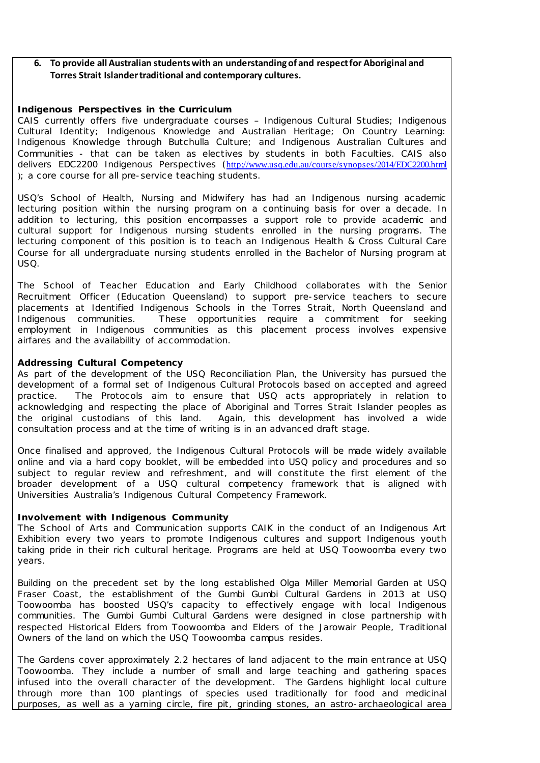## **6. To provide all Australian students with an understanding of and respect for Aboriginal and Torres Strait Islander traditional and contemporary cultures.**

### **Indigenous Perspectives in the Curriculum**

CAIS currently offers five undergraduate courses – Indigenous Cultural Studies; Indigenous Cultural Identity; Indigenous Knowledge and Australian Heritage; On Country Learning: Indigenous Knowledge through Butchulla Culture; and Indigenous Australian Cultures and Communities - that can be taken as electives by students in both Faculties. CAIS also delivers EDC2200 Indigenous Perspectives (<http://www.usq.edu.au/course/synopses/2014/EDC2200.html> ); a core course for all pre-service teaching students.

USQ's School of Health, Nursing and Midwifery has had an Indigenous nursing academic lecturing position within the nursing program on a continuing basis for over a decade. In addition to lecturing, this position encompasses a support role to provide academic and cultural support for Indigenous nursing students enrolled in the nursing programs. The lecturing component of this position is to teach an Indigenous Health & Cross Cultural Care Course for all undergraduate nursing students enrolled in the Bachelor of Nursing program at USQ.

The School of Teacher Education and Early Childhood collaborates with the Senior Recruitment Officer (Education Queensland) to support pre-service teachers to secure placements at Identified Indigenous Schools in the Torres Strait, North Queensland and Indigenous communities. These opportunities require a commitment for seeking employment in Indigenous communities as this placement process involves expensive airfares and the availability of accommodation.

### **Addressing Cultural Competency**

As part of the development of the USQ Reconciliation Plan, the University has pursued the development of a formal set of Indigenous Cultural Protocols based on accepted and agreed practice. The Protocols aim to ensure that USQ acts appropriately in relation to acknowledging and respecting the place of Aboriginal and Torres Strait Islander peoples as the original custodians of this land. Again, this development has involved a wide consultation process and at the time of writing is in an advanced draft stage.

Once finalised and approved, the Indigenous Cultural Protocols will be made widely available online and via a hard copy booklet, will be embedded into USQ policy and procedures and so subject to regular review and refreshment, and will constitute the first element of the broader development of a USQ cultural competency framework that is aligned with Universities Australia's Indigenous Cultural Competency Framework.

### **Involvement with Indigenous Community**

The School of Arts and Communication supports CAIK in the conduct of an Indigenous Art Exhibition every two years to promote Indigenous cultures and support Indigenous youth taking pride in their rich cultural heritage. Programs are held at USQ Toowoomba every two years.

Building on the precedent set by the long established Olga Miller Memorial Garden at USQ Fraser Coast, the establishment of the Gumbi Gumbi Cultural Gardens in 2013 at USQ Toowoomba has boosted USQ's capacity to effectively engage with local Indigenous communities. The Gumbi Gumbi Cultural Gardens were designed in close partnership with respected Historical Elders from Toowoomba and Elders of the Jarowair People, Traditional Owners of the land on which the USQ Toowoomba campus resides.

The Gardens cover approximately 2.2 hectares of land adjacent to the main entrance at USQ Toowoomba. They include a number of small and large teaching and gathering spaces infused into the overall character of the development. The Gardens highlight local culture through more than 100 plantings of species used traditionally for food and medicinal purposes, as well as a yarning circle, fire pit, grinding stones, an astro-archaeological area